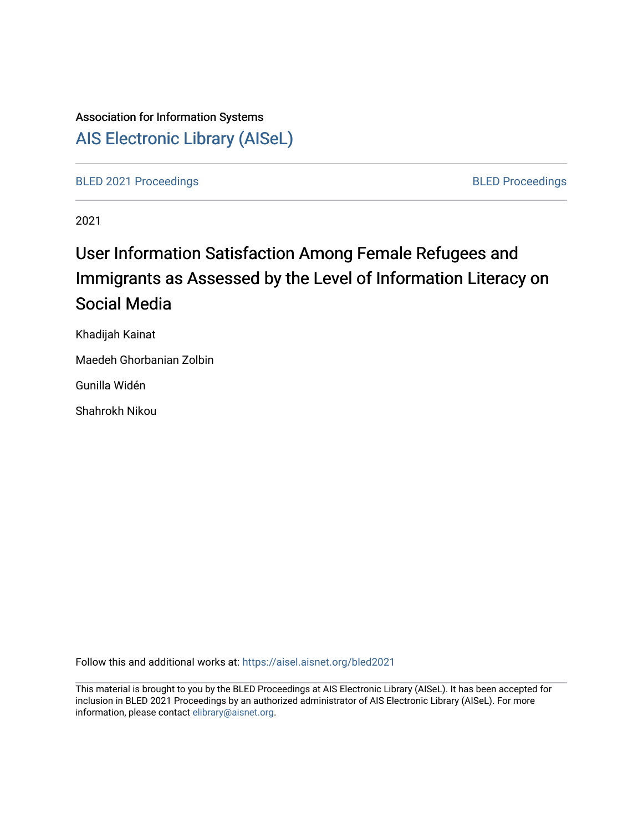# Association for Information Systems [AIS Electronic Library \(AISeL\)](https://aisel.aisnet.org/)

[BLED 2021 Proceedings](https://aisel.aisnet.org/bled2021) **BLED Proceedings** 

2021

# User Information Satisfaction Among Female Refugees and Immigrants as Assessed by the Level of Information Literacy on Social Media

Khadijah Kainat

Maedeh Ghorbanian Zolbin

Gunilla Widén

Shahrokh Nikou

Follow this and additional works at: [https://aisel.aisnet.org/bled2021](https://aisel.aisnet.org/bled2021?utm_source=aisel.aisnet.org%2Fbled2021%2F40&utm_medium=PDF&utm_campaign=PDFCoverPages) 

This material is brought to you by the BLED Proceedings at AIS Electronic Library (AISeL). It has been accepted for inclusion in BLED 2021 Proceedings by an authorized administrator of AIS Electronic Library (AISeL). For more information, please contact [elibrary@aisnet.org.](mailto:elibrary@aisnet.org%3E)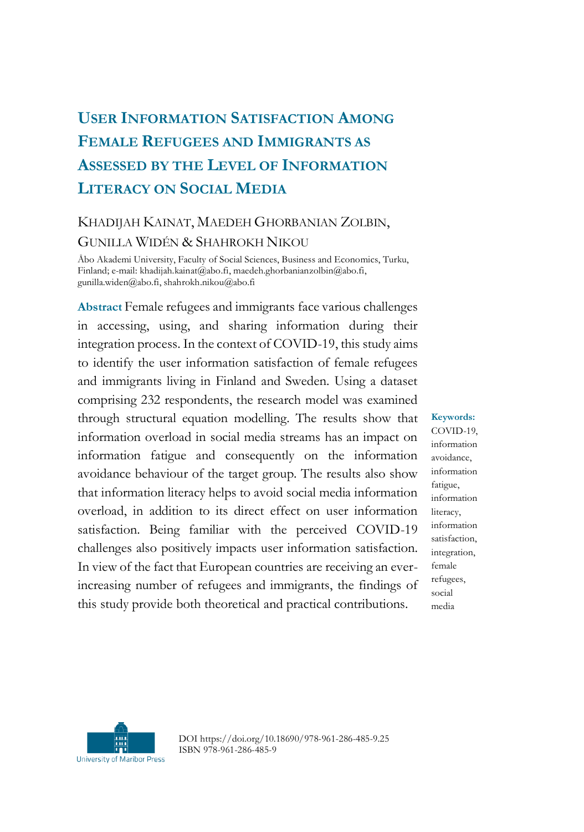## **USER INFORMATION SATISFACTION AMONG FEMALE REFUGEES AND IMMIGRANTS AS ASSESSED BY THE LEVEL OF INFORMATION LITERACY ON SOCIAL MEDIA**

## KHADIJAH KAINAT, MAEDEH GHORBANIAN ZOLBIN, GUNILLA WIDÉN & SHAHROKH NIKOU

Åbo Akademi University, Faculty of Social Sciences, Business and Economics, Turku, Finland; e-mail: khadijah.kainat@abo.fi, maedeh.ghorbanianzolbin@abo.fi, gunilla.widen@abo.fi, shahrokh.nikou@abo.fi

**Abstract** Female refugees and immigrants face various challenges in accessing, using, and sharing information during their integration process. In the context of COVID-19, this study aims to identify the user information satisfaction of female refugees and immigrants living in Finland and Sweden. Using a dataset comprising 232 respondents, the research model was examined through structural equation modelling. The results show that information overload in social media streams has an impact on information fatigue and consequently on the information avoidance behaviour of the target group. The results also show that information literacy helps to avoid social media information overload, in addition to its direct effect on user information satisfaction. Being familiar with the perceived COVID-19 challenges also positively impacts user information satisfaction. In view of the fact that European countries are receiving an everincreasing number of refugees and immigrants, the findings of this study provide both theoretical and practical contributions.

**Keywords:**

COVID-19, information avoidance, information fatigue, information literacy, information satisfaction, integration, female refugees, social media



DOI https://doi.org/10.18690/978-961-286-485-9.25 ISBN 978-961-286-485-9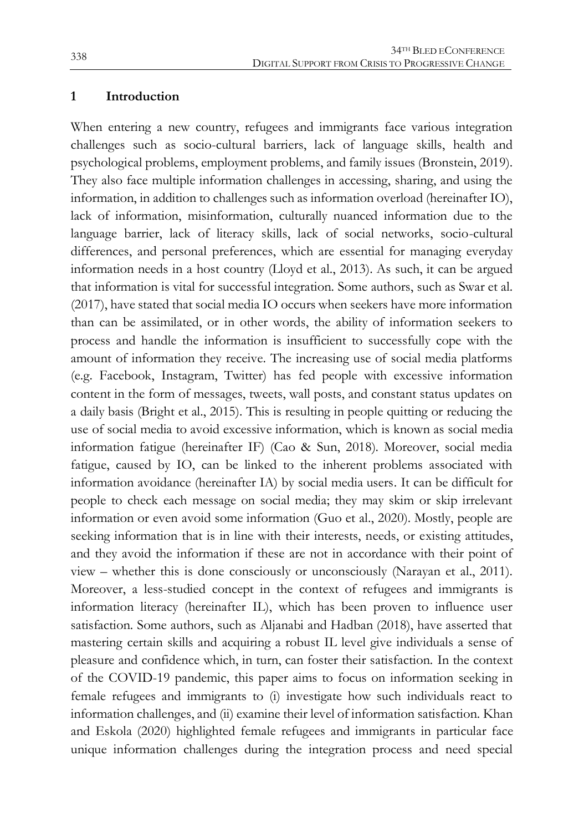#### **1 Introduction**

When entering a new country, refugees and immigrants face various integration challenges such as socio-cultural barriers, lack of language skills, health and psychological problems, employment problems, and family issues (Bronstein, 2019). They also face multiple information challenges in accessing, sharing, and using the information, in addition to challenges such as information overload (hereinafter IO), lack of information, misinformation, culturally nuanced information due to the language barrier, lack of literacy skills, lack of social networks, socio-cultural differences, and personal preferences, which are essential for managing everyday information needs in a host country (Lloyd et al., 2013). As such, it can be argued that information is vital for successful integration. Some authors, such as Swar et al. (2017), have stated that social media IO occurs when seekers have more information than can be assimilated, or in other words, the ability of information seekers to process and handle the information is insufficient to successfully cope with the amount of information they receive. The increasing use of social media platforms (e.g. Facebook, Instagram, Twitter) has fed people with excessive information content in the form of messages, tweets, wall posts, and constant status updates on a daily basis (Bright et al., 2015). This is resulting in people quitting or reducing the use of social media to avoid excessive information, which is known as social media information fatigue (hereinafter IF) (Cao & Sun, 2018). Moreover, social media fatigue, caused by IO, can be linked to the inherent problems associated with information avoidance (hereinafter IA) by social media users. It can be difficult for people to check each message on social media; they may skim or skip irrelevant information or even avoid some information (Guo et al., 2020). Mostly, people are seeking information that is in line with their interests, needs, or existing attitudes, and they avoid the information if these are not in accordance with their point of view – whether this is done consciously or unconsciously (Narayan et al., 2011). Moreover, a less-studied concept in the context of refugees and immigrants is information literacy (hereinafter IL), which has been proven to influence user satisfaction. Some authors, such as Aljanabi and Hadban (2018), have asserted that mastering certain skills and acquiring a robust IL level give individuals a sense of pleasure and confidence which, in turn, can foster their satisfaction. In the context of the COVID-19 pandemic, this paper aims to focus on information seeking in female refugees and immigrants to (i) investigate how such individuals react to information challenges, and (ii) examine their level of information satisfaction. Khan and Eskola (2020) highlighted female refugees and immigrants in particular face unique information challenges during the integration process and need special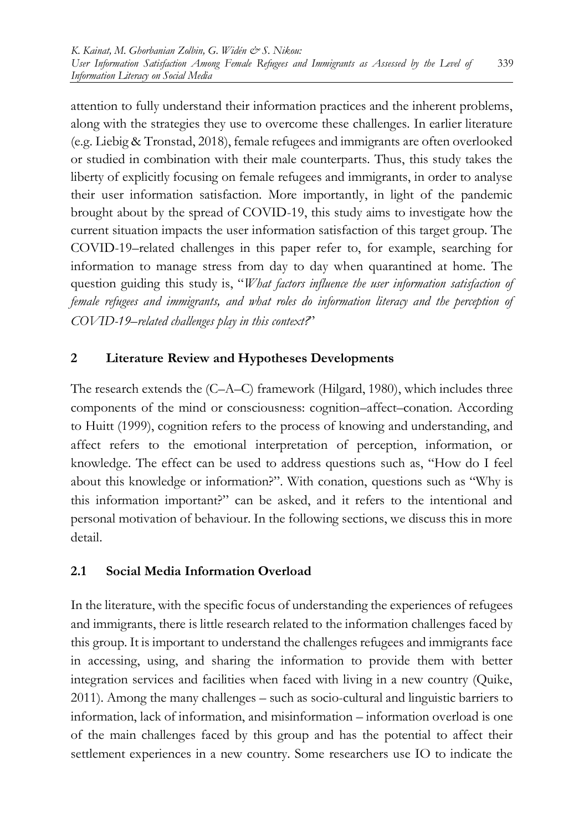attention to fully understand their information practices and the inherent problems, along with the strategies they use to overcome these challenges. In earlier literature (e.g. Liebig & Tronstad, 2018), female refugees and immigrants are often overlooked or studied in combination with their male counterparts. Thus, this study takes the liberty of explicitly focusing on female refugees and immigrants, in order to analyse their user information satisfaction. More importantly, in light of the pandemic brought about by the spread of COVID-19, this study aims to investigate how the current situation impacts the user information satisfaction of this target group. The COVID-19–related challenges in this paper refer to, for example, searching for information to manage stress from day to day when quarantined at home. The question guiding this study is, "*What factors influence the user information satisfaction of female refugees and immigrants, and what roles do information literacy and the perception of COVID-19–related challenges play in this context?*"

### **2 Literature Review and Hypotheses Developments**

The research extends the (C–A–C) framework (Hilgard, 1980), which includes three components of the mind or consciousness: cognition–affect–conation. According to Huitt (1999), cognition refers to the process of knowing and understanding, and affect refers to the emotional interpretation of perception, information, or knowledge. The effect can be used to address questions such as, "How do I feel about this knowledge or information?". With conation, questions such as "Why is this information important?" can be asked, and it refers to the intentional and personal motivation of behaviour. In the following sections, we discuss this in more detail.

#### **2.1 Social Media Information Overload**

In the literature, with the specific focus of understanding the experiences of refugees and immigrants, there is little research related to the information challenges faced by this group. It is important to understand the challenges refugees and immigrants face in accessing, using, and sharing the information to provide them with better integration services and facilities when faced with living in a new country (Quike, 2011). Among the many challenges – such as socio-cultural and linguistic barriers to information, lack of information, and misinformation – information overload is one of the main challenges faced by this group and has the potential to affect their settlement experiences in a new country. Some researchers use IO to indicate the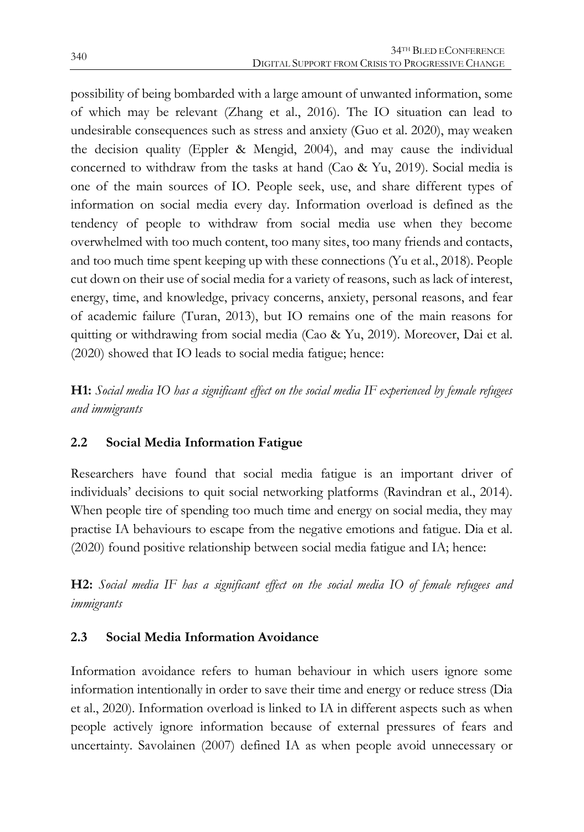possibility of being bombarded with a large amount of unwanted information, some of which may be relevant (Zhang et al., 2016). The IO situation can lead to undesirable consequences such as stress and anxiety (Guo et al. 2020), may weaken the decision quality (Eppler & Mengid, 2004), and may cause the individual concerned to withdraw from the tasks at hand (Cao & Yu, 2019). Social media is one of the main sources of IO. People seek, use, and share different types of information on social media every day. Information overload is defined as the tendency of people to withdraw from social media use when they become overwhelmed with too much content, too many sites, too many friends and contacts, and too much time spent keeping up with these connections (Yu et al., 2018). People cut down on their use of social media for a variety of reasons, such as lack of interest, energy, time, and knowledge, privacy concerns, anxiety, personal reasons, and fear of academic failure (Turan, 2013), but IO remains one of the main reasons for quitting or withdrawing from social media (Cao & Yu, 2019). Moreover, Dai et al. (2020) showed that IO leads to social media fatigue; hence:

**H1:** *Social media IO has a significant effect on the social media IF experienced by female refugees and immigrants*

#### **2.2 Social Media Information Fatigue**

Researchers have found that social media fatigue is an important driver of individuals' decisions to quit social networking platforms (Ravindran et al., 2014). When people tire of spending too much time and energy on social media, they may practise IA behaviours to escape from the negative emotions and fatigue. Dia et al. (2020) found positive relationship between social media fatigue and IA; hence:

**H2:** *Social media IF has a significant effect on the social media IO of female refugees and immigrants*

#### **2.3 Social Media Information Avoidance**

Information avoidance refers to human behaviour in which users ignore some information intentionally in order to save their time and energy or reduce stress (Dia et al., 2020). Information overload is linked to IA in different aspects such as when people actively ignore information because of external pressures of fears and uncertainty. Savolainen (2007) defined IA as when people avoid unnecessary or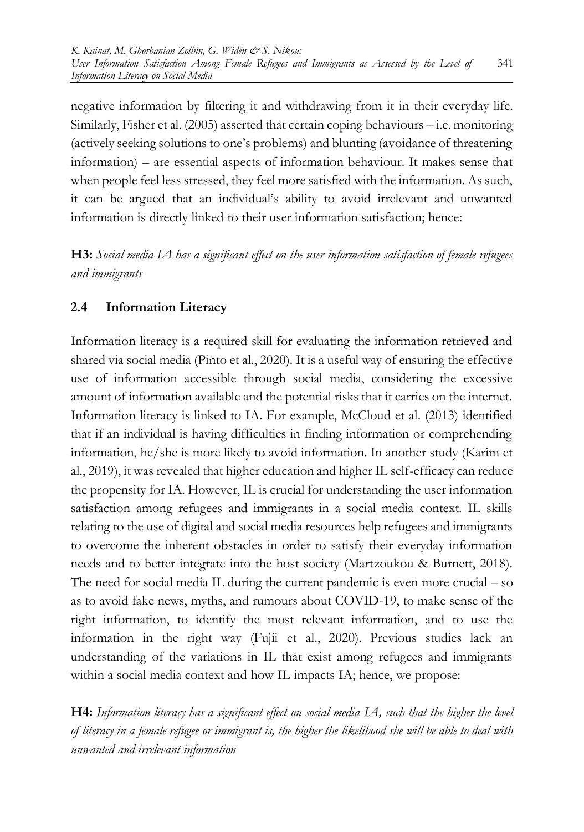negative information by filtering it and withdrawing from it in their everyday life. Similarly, Fisher et al. (2005) asserted that certain coping behaviours – i.e. monitoring (actively seeking solutions to one's problems) and blunting (avoidance of threatening information) – are essential aspects of information behaviour. It makes sense that when people feel less stressed, they feel more satisfied with the information. As such, it can be argued that an individual's ability to avoid irrelevant and unwanted information is directly linked to their user information satisfaction; hence:

**H3:** *Social media IA has a significant effect on the user information satisfaction of female refugees and immigrants*

#### **2.4 Information Literacy**

Information literacy is a required skill for evaluating the information retrieved and shared via social media (Pinto et al., 2020). It is a useful way of ensuring the effective use of information accessible through social media, considering the excessive amount of information available and the potential risks that it carries on the internet. Information literacy is linked to IA. For example, McCloud et al. (2013) identified that if an individual is having difficulties in finding information or comprehending information, he/she is more likely to avoid information. In another study (Karim et al., 2019), it was revealed that higher education and higher IL self-efficacy can reduce the propensity for IA. However, IL is crucial for understanding the user information satisfaction among refugees and immigrants in a social media context. IL skills relating to the use of digital and social media resources help refugees and immigrants to overcome the inherent obstacles in order to satisfy their everyday information needs and to better integrate into the host society (Martzoukou & Burnett, 2018). The need for social media IL during the current pandemic is even more crucial – so as to avoid fake news, myths, and rumours about COVID-19, to make sense of the right information, to identify the most relevant information, and to use the information in the right way (Fujii et al., 2020). Previous studies lack an understanding of the variations in IL that exist among refugees and immigrants within a social media context and how IL impacts IA; hence, we propose:

**H4:** *Information literacy has a significant effect on social media IA, such that the higher the level of literacy in a female refugee or immigrant is, the higher the likelihood she will be able to deal with unwanted and irrelevant information*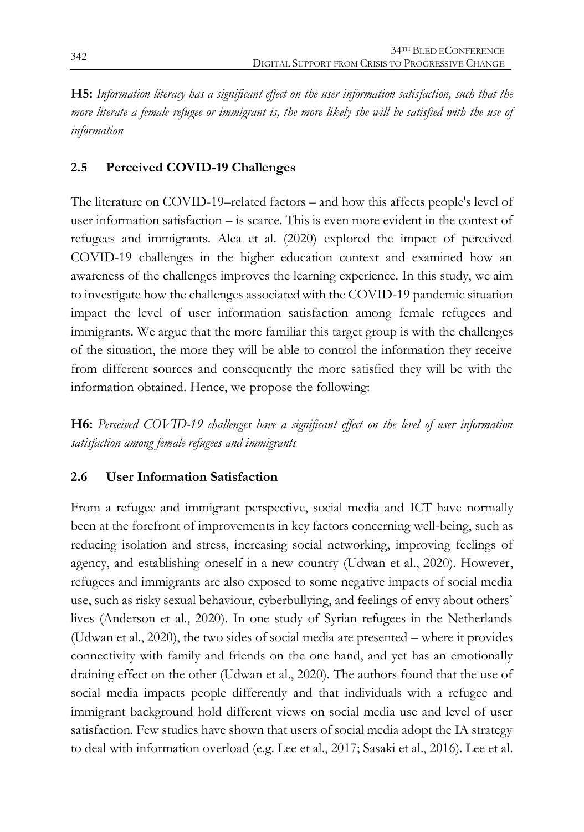**H5:** *Information literacy has a significant effect on the user information satisfaction, such that the more literate a female refugee or immigrant is, the more likely she will be satisfied with the use of information*

#### **2.5 Perceived COVID-19 Challenges**

The literature on COVID-19–related factors – and how this affects people's level of user information satisfaction – is scarce. This is even more evident in the context of refugees and immigrants. Alea et al. (2020) explored the impact of perceived COVID-19 challenges in the higher education context and examined how an awareness of the challenges improves the learning experience. In this study, we aim to investigate how the challenges associated with the COVID-19 pandemic situation impact the level of user information satisfaction among female refugees and immigrants. We argue that the more familiar this target group is with the challenges of the situation, the more they will be able to control the information they receive from different sources and consequently the more satisfied they will be with the information obtained. Hence, we propose the following:

**H6:** *Perceived COVID-19 challenges have a significant effect on the level of user information satisfaction among female refugees and immigrants*

### **2.6 User Information Satisfaction**

From a refugee and immigrant perspective, social media and ICT have normally been at the forefront of improvements in key factors concerning well-being, such as reducing isolation and stress, increasing social networking, improving feelings of agency, and establishing oneself in a new country (Udwan et al., 2020). However, refugees and immigrants are also exposed to some negative impacts of social media use, such as risky sexual behaviour, cyberbullying, and feelings of envy about others' lives (Anderson et al., 2020). In one study of Syrian refugees in the Netherlands (Udwan et al., 2020), the two sides of social media are presented – where it provides connectivity with family and friends on the one hand, and yet has an emotionally draining effect on the other (Udwan et al., 2020). The authors found that the use of social media impacts people differently and that individuals with a refugee and immigrant background hold different views on social media use and level of user satisfaction. Few studies have shown that users of social media adopt the IA strategy to deal with information overload (e.g. Lee et al., 2017; Sasaki et al., 2016). Lee et al.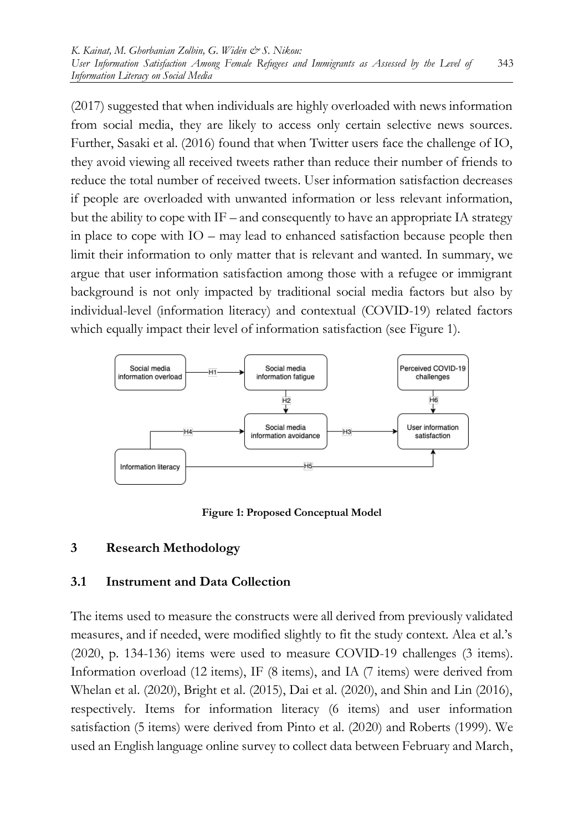(2017) suggested that when individuals are highly overloaded with news information from social media, they are likely to access only certain selective news sources. Further, Sasaki et al. (2016) found that when Twitter users face the challenge of IO, they avoid viewing all received tweets rather than reduce their number of friends to reduce the total number of received tweets. User information satisfaction decreases if people are overloaded with unwanted information or less relevant information, but the ability to cope with IF – and consequently to have an appropriate IA strategy in place to cope with IO – may lead to enhanced satisfaction because people then limit their information to only matter that is relevant and wanted. In summary, we argue that user information satisfaction among those with a refugee or immigrant background is not only impacted by traditional social media factors but also by individual-level (information literacy) and contextual (COVID-19) related factors which equally impact their level of information satisfaction (see Figure 1).



**Figure 1: Proposed Conceptual Model**

#### **3 Research Methodology**

#### **3.1 Instrument and Data Collection**

The items used to measure the constructs were all derived from previously validated measures, and if needed, were modified slightly to fit the study context. Alea et al.'s (2020, p. 134-136) items were used to measure COVID-19 challenges (3 items). Information overload (12 items), IF (8 items), and IA (7 items) were derived from Whelan et al. (2020), Bright et al. (2015), Dai et al. (2020), and Shin and Lin (2016), respectively. Items for information literacy (6 items) and user information satisfaction (5 items) were derived from Pinto et al. (2020) and Roberts (1999). We used an English language online survey to collect data between February and March,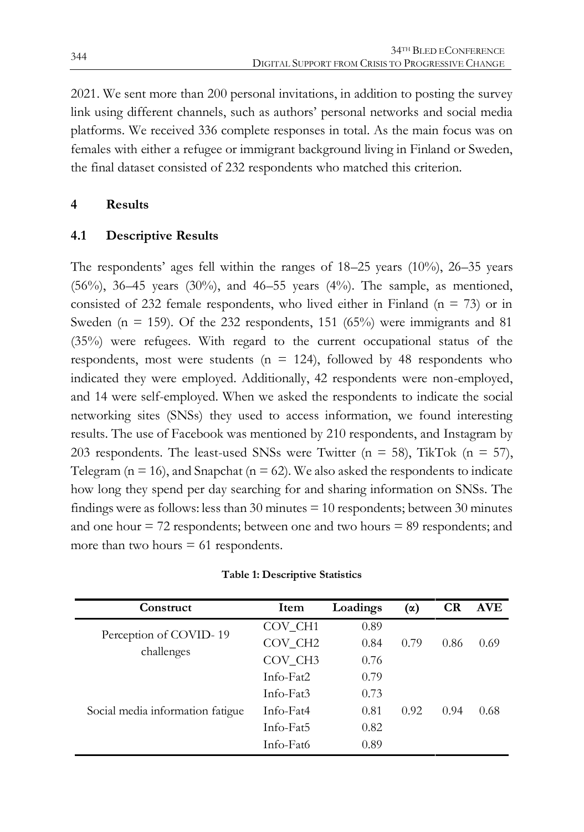2021. We sent more than 200 personal invitations, in addition to posting the survey link using different channels, such as authors' personal networks and social media platforms. We received 336 complete responses in total. As the main focus was on females with either a refugee or immigrant background living in Finland or Sweden, the final dataset consisted of 232 respondents who matched this criterion.

#### **4 Results**

#### **4.1 Descriptive Results**

The respondents' ages fell within the ranges of 18–25 years (10%), 26–35 years  $(56\%)$ ,  $36-45$  years  $(30\%)$ , and  $46-55$  years  $(4\%)$ . The sample, as mentioned, consisted of 232 female respondents, who lived either in Finland ( $n = 73$ ) or in Sweden ( $n = 159$ ). Of the 232 respondents, 151 (65%) were immigrants and 81 (35%) were refugees. With regard to the current occupational status of the respondents, most were students ( $n = 124$ ), followed by 48 respondents who indicated they were employed. Additionally, 42 respondents were non-employed, and 14 were self-employed. When we asked the respondents to indicate the social networking sites (SNSs) they used to access information, we found interesting results. The use of Facebook was mentioned by 210 respondents, and Instagram by 203 respondents. The least-used SNSs were Twitter ( $n = 58$ ), TikTok ( $n = 57$ ), Telegram ( $n = 16$ ), and Snapchat ( $n = 62$ ). We also asked the respondents to indicate how long they spend per day searching for and sharing information on SNSs. The findings were as follows: less than 30 minutes  $= 10$  respondents; between 30 minutes and one hour  $= 72$  respondents; between one and two hours  $= 89$  respondents; and more than two hours  $= 61$  respondents.

| Item                | Loadings | (α)  | <b>CR</b> | <b>AVE</b> |
|---------------------|----------|------|-----------|------------|
| COV CH <sub>1</sub> | 0.89     |      |           |            |
| COV CH <sub>2</sub> | 0.84     | 0.79 | 0.86      | 0.69       |
| COV CH <sub>3</sub> | 0.76     |      |           |            |
| Info-Fat2           | 0.79     |      |           |            |
| Info-Fat3           | 0.73     |      |           |            |
| Info-Fat4           | 0.81     | 0.92 | 0.94      | 0.68       |
| Info-Fat5           | 0.82     |      |           |            |
| Info-Fat6           | 0.89     |      |           |            |
|                     |          |      |           |            |

| Table 1: Descriptive Statistics |  |
|---------------------------------|--|
|---------------------------------|--|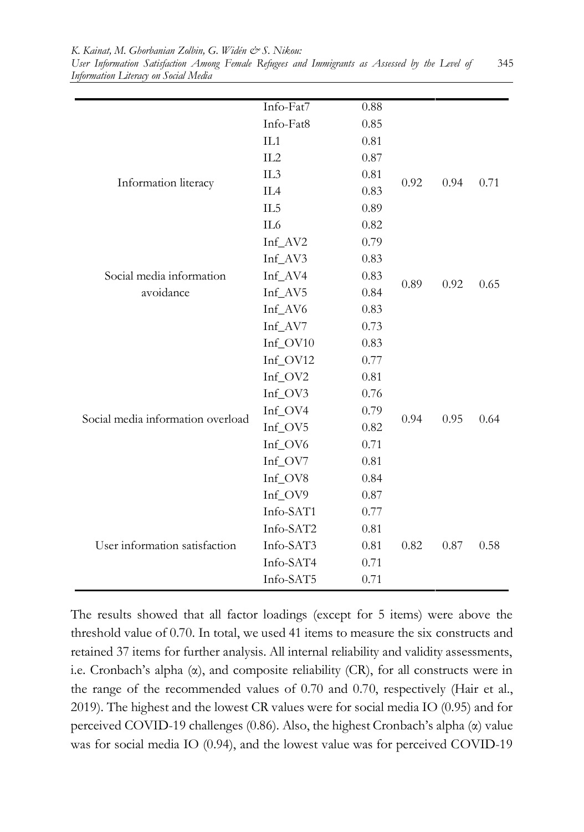*K. Kainat, M. Ghorbanian Zolbin, G. Widén & S. Nikou:*

*User Information Satisfaction Among Female Refugees and Immigrants as Assessed by the Level of Information Literacy on Social Media* 345

|                                                               | Info-Fat7       | 0.88 |      |      |      |
|---------------------------------------------------------------|-----------------|------|------|------|------|
| Information literacy<br>Social media information<br>avoidance | Info-Fat8       | 0.85 |      |      |      |
|                                                               | IL1             | 0.81 |      |      |      |
|                                                               | IL2             | 0.87 |      |      |      |
|                                                               | IL3             | 0.81 | 0.92 | 0.94 | 0.71 |
|                                                               | IL <sub>4</sub> | 0.83 |      |      |      |
|                                                               | IL <sub>5</sub> | 0.89 |      |      |      |
|                                                               | IL6             | 0.82 |      |      |      |
|                                                               | Inf_AV2         | 0.79 |      |      |      |
|                                                               | Inf_AV3         | 0.83 |      |      | 0.65 |
|                                                               | Inf_AV4         | 0.83 | 0.89 | 0.92 |      |
|                                                               | Inf_AV5         | 0.84 |      |      |      |
|                                                               | Inf_AV6         | 0.83 |      |      |      |
|                                                               | Inf_AV7         | 0.73 |      |      |      |
|                                                               | Inf_OV10        | 0.83 |      |      |      |
|                                                               | Inf_OV12        | 0.77 |      |      |      |
|                                                               | Inf_OV2         | 0.81 |      |      | 0.64 |
|                                                               | Inf_OV3         | 0.76 |      |      |      |
| Social media information overload                             | Inf_OV4         | 0.79 | 0.94 | 0.95 |      |
|                                                               | Inf_OV5         | 0.82 |      |      |      |
|                                                               | Inf_OV6         | 0.71 |      |      |      |
|                                                               | Inf_OV7         | 0.81 |      |      |      |
|                                                               | Inf_OV8         | 0.84 |      |      |      |
|                                                               | Inf_OV9         | 0.87 |      |      |      |
| User information satisfaction                                 | Info-SAT1       | 0.77 |      |      |      |
|                                                               | Info-SAT2       | 0.81 |      |      |      |
|                                                               | Info-SAT3       | 0.81 | 0.82 | 0.87 | 0.58 |
|                                                               | Info-SAT4       | 0.71 |      |      |      |
|                                                               | Info-SAT5       | 0.71 |      |      |      |

The results showed that all factor loadings (except for 5 items) were above the threshold value of 0.70. In total, we used 41 items to measure the six constructs and retained 37 items for further analysis. All internal reliability and validity assessments, i.e. Cronbach's alpha (α), and composite reliability (CR), for all constructs were in the range of the recommended values of 0.70 and 0.70, respectively (Hair et al., 2019). The highest and the lowest CR values were for social media IO (0.95) and for perceived COVID-19 challenges (0.86). Also, the highest Cronbach's alpha (α) value was for social media IO (0.94), and the lowest value was for perceived COVID-19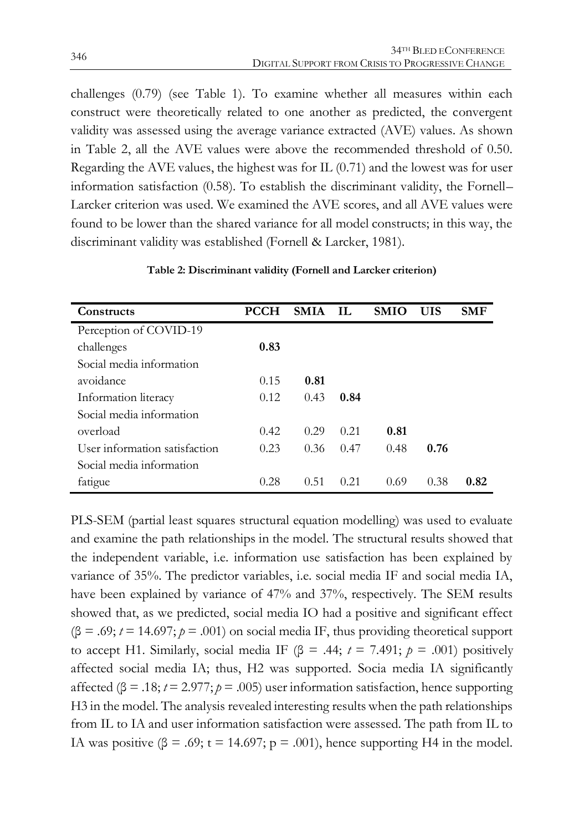challenges (0.79) (see Table 1). To examine whether all measures within each construct were theoretically related to one another as predicted, the convergent validity was assessed using the average variance extracted (AVE) values. As shown in Table 2, all the AVE values were above the recommended threshold of 0.50. Regarding the AVE values, the highest was for IL (0.71) and the lowest was for user information satisfaction (0.58). To establish the discriminant validity, the Fornell– Larcker criterion was used. We examined the AVE scores, and all AVE values were found to be lower than the shared variance for all model constructs; in this way, the discriminant validity was established (Fornell & Larcker, 1981).

| Constructs                    | <b>PCCH</b> | <b>SMIA</b> | - IL | <b>SMIO</b> | <b>UIS</b> | <b>SMF</b> |
|-------------------------------|-------------|-------------|------|-------------|------------|------------|
| Perception of COVID-19        |             |             |      |             |            |            |
| challenges                    | 0.83        |             |      |             |            |            |
| Social media information      |             |             |      |             |            |            |
| avoidance                     | 0.15        | 0.81        |      |             |            |            |
| Information literacy          | 0.12        | 0.43        | 0.84 |             |            |            |
| Social media information      |             |             |      |             |            |            |
| overload                      | 0.42        | 0.29        | 0.21 | 0.81        |            |            |
| User information satisfaction | 0.23        | 0.36        | 0.47 | 0.48        | 0.76       |            |
| Social media information      |             |             |      |             |            |            |
| fatigue                       | 0.28        | 0.51        | 0.21 | 0.69        | 0.38       | 0.82       |

**Table 2: Discriminant validity (Fornell and Larcker criterion)**

PLS-SEM (partial least squares structural equation modelling) was used to evaluate and examine the path relationships in the model. The structural results showed that the independent variable, i.e. information use satisfaction has been explained by variance of 35%. The predictor variables, i.e. social media IF and social media IA, have been explained by variance of 47% and 37%, respectively. The SEM results showed that, as we predicted, social media IO had a positive and significant effect  $(\beta = .69; t = 14.697; p = .001)$  on social media IF, thus providing theoretical support to accept H1. Similarly, social media IF ( $\beta$  = .44;  $t$  = 7.491;  $p$  = .001) positively affected social media IA; thus, H2 was supported. Socia media IA significantly affected (β = .18;  $t = 2.977$ ;  $p = .005$ ) user information satisfaction, hence supporting H3 in the model. The analysis revealed interesting results when the path relationships from IL to IA and user information satisfaction were assessed. The path from IL to IA was positive  $(\beta = .69; t = 14.697; p = .001)$ , hence supporting H4 in the model.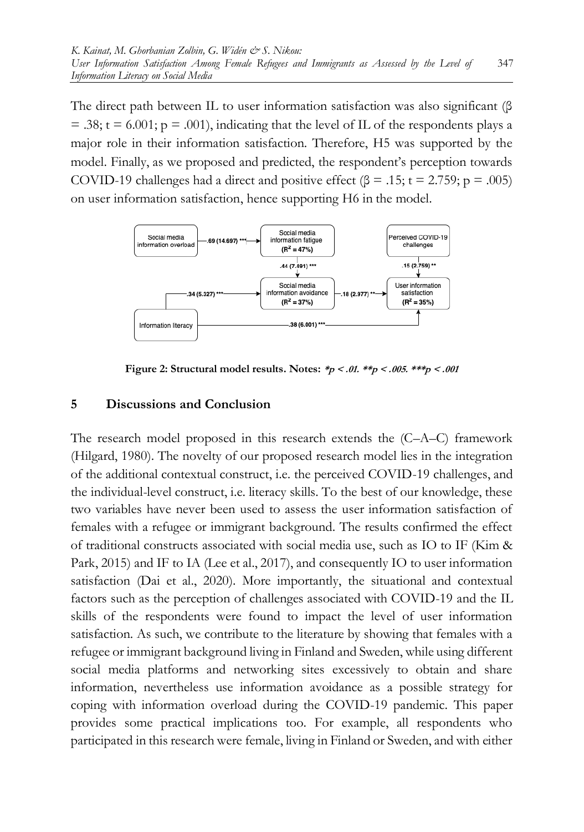The direct path between IL to user information satisfaction was also significant (β  $= .38$ ; t = 6.001; p = .001), indicating that the level of IL of the respondents plays a major role in their information satisfaction. Therefore, H5 was supported by the model. Finally, as we proposed and predicted, the respondent's perception towards COVID-19 challenges had a direct and positive effect ( $\beta = .15$ ; t = 2.759; p = .005) on user information satisfaction, hence supporting H6 in the model.



**Figure 2: Structural model results. Notes: \*p < .01. \*\*p < .005. \*\*\*p < .001**

#### **5 Discussions and Conclusion**

The research model proposed in this research extends the (C–A–C) framework (Hilgard, 1980). The novelty of our proposed research model lies in the integration of the additional contextual construct, i.e. the perceived COVID-19 challenges, and the individual-level construct, i.e. literacy skills. To the best of our knowledge, these two variables have never been used to assess the user information satisfaction of females with a refugee or immigrant background. The results confirmed the effect of traditional constructs associated with social media use, such as IO to IF (Kim & Park, 2015) and IF to IA (Lee et al., 2017), and consequently IO to user information satisfaction (Dai et al., 2020). More importantly, the situational and contextual factors such as the perception of challenges associated with COVID-19 and the IL skills of the respondents were found to impact the level of user information satisfaction. As such, we contribute to the literature by showing that females with a refugee or immigrant background living in Finland and Sweden, while using different social media platforms and networking sites excessively to obtain and share information, nevertheless use information avoidance as a possible strategy for coping with information overload during the COVID-19 pandemic. This paper provides some practical implications too. For example, all respondents who participated in this research were female, living in Finland or Sweden, and with either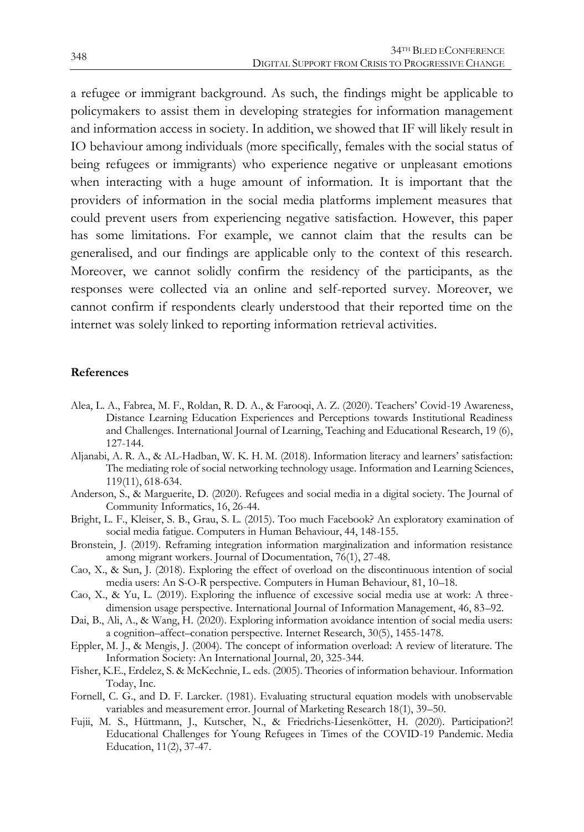a refugee or immigrant background. As such, the findings might be applicable to policymakers to assist them in developing strategies for information management and information access in society. In addition, we showed that IF will likely result in IO behaviour among individuals (more specifically, females with the social status of being refugees or immigrants) who experience negative or unpleasant emotions when interacting with a huge amount of information. It is important that the providers of information in the social media platforms implement measures that could prevent users from experiencing negative satisfaction. However, this paper has some limitations. For example, we cannot claim that the results can be generalised, and our findings are applicable only to the context of this research. Moreover, we cannot solidly confirm the residency of the participants, as the responses were collected via an online and self-reported survey. Moreover, we cannot confirm if respondents clearly understood that their reported time on the internet was solely linked to reporting information retrieval activities.

#### **References**

- Alea, L. A., Fabrea, M. F., Roldan, R. D. A., & Farooqi, A. Z. (2020). Teachers' Covid-19 Awareness, Distance Learning Education Experiences and Perceptions towards Institutional Readiness and Challenges. International Journal of Learning, Teaching and Educational Research, 19 (6), 127-144.
- Aljanabi, A. R. A., & AL-Hadban, W. K. H. M. (2018). Information literacy and learners' satisfaction: The mediating role of social networking technology usage. Information and Learning Sciences, 119(11), 618-634.
- Anderson, S., & Marguerite, D. (2020). Refugees and social media in a digital society. The Journal of Community Informatics, 16, 26-44.
- Bright, L. F., Kleiser, S. B., Grau, S. L. (2015). Too much Facebook? An exploratory examination of social media fatigue. Computers in Human Behaviour, 44, 148-155.
- Bronstein, J. (2019). Reframing integration information marginalization and information resistance among migrant workers. Journal of Documentation, 76(1), 27-48.
- Cao, X., & Sun, J. (2018). Exploring the effect of overload on the discontinuous intention of social media users: An S-O-R perspective. Computers in Human Behaviour, 81, 10–18.
- Cao, X., & Yu, L. (2019). Exploring the influence of excessive social media use at work: A threedimension usage perspective. International Journal of Information Management, 46, 83–92.
- Dai, B., Ali, A., & Wang, H. (2020). Exploring information avoidance intention of social media users: a cognition–affect–conation perspective. Internet Research, 30(5), 1455-1478.
- Eppler, M. J., & Mengis, J. (2004). The concept of information overload: A review of literature. The Information Society: An International Journal, 20, 325-344.
- Fisher, K.E., Erdelez, S. & McKechnie, L. eds. (2005). Theories of information behaviour. Information Today, Inc.
- Fornell, C. G., and D. F. Larcker. (1981). Evaluating structural equation models with unobservable variables and measurement error. Journal of Marketing Research 18(1), 39–50.
- Fujii, M. S., Hüttmann, J., Kutscher, N., & Friedrichs-Liesenkötter, H. (2020). Participation?! Educational Challenges for Young Refugees in Times of the COVID-19 Pandemic. Media Education, 11(2), 37-47.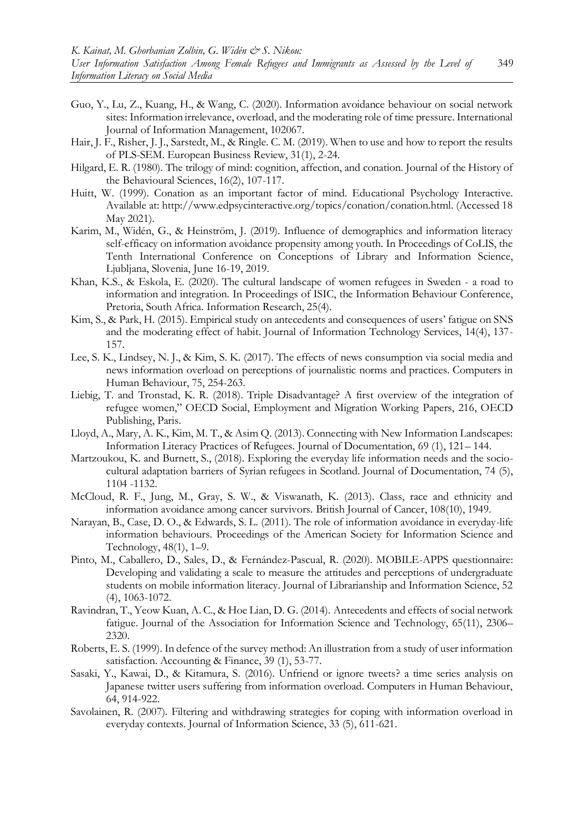- Guo, Y., Lu, Z., Kuang, H., & Wang, C. (2020). Information avoidance behaviour on social network sites: Information irrelevance, overload, and the moderating role of time pressure. International Journal of Information Management, 102067.
- Hair, J. F., Risher, J. J., Sarstedt, M., & Ringle. C. M. (2019). When to use and how to report the results of PLS-SEM. European Business Review, 31(1), 2-24.
- Hilgard, E. R. (1980). The trilogy of mind: cognition, affection, and conation. Journal of the History of the Behavioural Sciences, 16(2), 107-117.
- Huitt, W. (1999). Conation as an important factor of mind. Educational Psychology Interactive. Available at: http://www.edpsycinteractive.org/topics/conation/conation.html. (Accessed 18 May 2021).
- Karim, M., Widén, G., & Heinström, J. (2019). Influence of demographics and information literacy self-efficacy on information avoidance propensity among youth. In Proceedings of CoLIS, the Tenth International Conference on Conceptions of Library and Information Science, Ljubljana, Slovenia, June 16-19, 2019.
- Khan, K.S., & Eskola, E. (2020). The cultural landscape of women refugees in Sweden a road to information and integration. In Proceedings of ISIC, the Information Behaviour Conference, Pretoria, South Africa. Information Research, 25(4).
- Kim, S., & Park, H. (2015). Empirical study on antecedents and consequences of users' fatigue on SNS and the moderating effect of habit. Journal of Information Technology Services, 14(4), 137- 157.
- Lee, S. K., Lindsey, N. J., & Kim, S. K. (2017). The effects of news consumption via social media and news information overload on perceptions of journalistic norms and practices. Computers in Human Behaviour, 75, 254-263.
- Liebig, T. and Tronstad, K. R. (2018). Triple Disadvantage? A first overview of the integration of refugee women," OECD Social, Employment and Migration Working Papers, 216, OECD Publishing, Paris.
- Lloyd, A., Mary, A. K., Kim, M. T., & Asim Q. (2013). Connecting with New Information Landscapes: Information Literacy Practices of Refugees. Journal of Documentation, 69 (1), 121– 144.
- Martzoukou, K. and Burnett, S., (2018). Exploring the everyday life information needs and the sociocultural adaptation barriers of Syrian refugees in Scotland. Journal of Documentation, 74 (5), 1104 -1132.
- McCloud, R. F., Jung, M., Gray, S. W., & Viswanath, K. (2013). Class, race and ethnicity and information avoidance among cancer survivors. British Journal of Cancer, 108(10), 1949.
- Narayan, B., Case, D. O., & Edwards, S. L. (2011). The role of information avoidance in everyday-life information behaviours. Proceedings of the American Society for Information Science and Technology, 48(1), 1–9.
- Pinto, M., Caballero, D., Sales, D., & Fernández-Pascual, R. (2020). MOBILE-APPS questionnaire: Developing and validating a scale to measure the attitudes and perceptions of undergraduate students on mobile information literacy. Journal of Librarianship and Information Science, 52 (4), 1063-1072.
- Ravindran, T., Yeow Kuan, A. C., & Hoe Lian, D. G. (2014). Antecedents and effects of social network fatigue. Journal of the Association for Information Science and Technology, 65(11), 2306– 2320.
- Roberts, E. S. (1999). In defence of the survey method: An illustration from a study of user information satisfaction. Accounting & Finance, 39 (1), 53-77.
- Sasaki, Y., Kawai, D., & Kitamura, S. (2016). Unfriend or ignore tweets? a time series analysis on Japanese twitter users suffering from information overload. Computers in Human Behaviour, 64, 914-922.
- Savolainen, R. (2007). Filtering and withdrawing strategies for coping with information overload in everyday contexts. Journal of Information Science, 33 (5), 611-621.